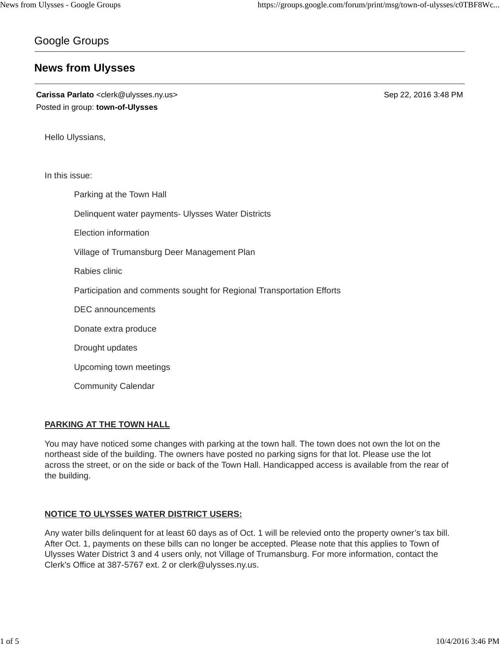# Google Groups

# **News from Ulysses**

**Carissa Parlato** <clerk@ulysses.ny.us> Sep 22, 2016 3:48 PM Posted in group: **town-of-Ulysses**

Hello Ulyssians,

In this issue:

Parking at the Town Hall Delinquent water payments- Ulysses Water Districts

Election information

Village of Trumansburg Deer Management Plan

Rabies clinic

Participation and comments sought for Regional Transportation Efforts

DEC announcements

Donate extra produce

Drought updates

Upcoming town meetings

Community Calendar

## **PARKING AT THE TOWN HALL**

You may have noticed some changes with parking at the town hall. The town does not own the lot on the northeast side of the building. The owners have posted no parking signs for that lot. Please use the lot across the street, or on the side or back of the Town Hall. Handicapped access is available from the rear of the building.

## **NOTICE TO ULYSSES WATER DISTRICT USERS:**

Any water bills delinquent for at least 60 days as of Oct. 1 will be relevied onto the property owner's tax bill. After Oct. 1, payments on these bills can no longer be accepted. Please note that this applies to Town of Ulysses Water District 3 and 4 users only, not Village of Trumansburg. For more information, contact the Clerk's Office at 387-5767 ext. 2 or clerk@ulysses.ny.us.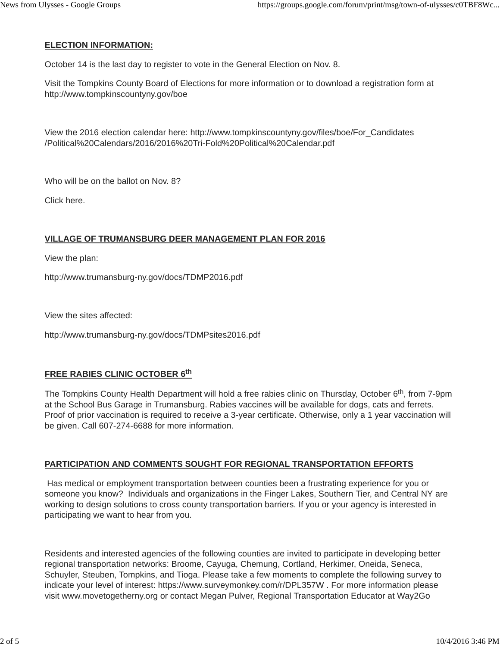# **ELECTION INFORMATION:**

October 14 is the last day to register to vote in the General Election on Nov. 8.

Visit the Tompkins County Board of Elections for more information or to download a registration form at http://www.tompkinscountyny.gov/boe

View the 2016 election calendar here: http://www.tompkinscountyny.gov/files/boe/For\_Candidates /Political%20Calendars/2016/2016%20Tri-Fold%20Political%20Calendar.pdf

Who will be on the ballot on Nov. 8?

Click here.

# **VILLAGE OF TRUMANSBURG DEER MANAGEMENT PLAN FOR 2016**

View the plan:

http://www.trumansburg-ny.gov/docs/TDMP2016.pdf

View the sites affected:

http://www.trumansburg-ny.gov/docs/TDMPsites2016.pdf

# **FREE RABIES CLINIC OCTOBER 6th**

The Tompkins County Health Department will hold a free rabies clinic on Thursday, October 6<sup>th</sup>, from 7-9pm at the School Bus Garage in Trumansburg. Rabies vaccines will be available for dogs, cats and ferrets. Proof of prior vaccination is required to receive a 3-year certificate. Otherwise, only a 1 year vaccination will be given. Call 607-274-6688 for more information.

## **PARTICIPATION AND COMMENTS SOUGHT FOR REGIONAL TRANSPORTATION EFFORTS**

Has medical or employment transportation between counties been a frustrating experience for you or someone you know? Individuals and organizations in the Finger Lakes, Southern Tier, and Central NY are working to design solutions to cross county transportation barriers. If you or your agency is interested in participating we want to hear from you.

Residents and interested agencies of the following counties are invited to participate in developing better regional transportation networks: Broome, Cayuga, Chemung, Cortland, Herkimer, Oneida, Seneca, Schuyler, Steuben, Tompkins, and Tioga. Please take a few moments to complete the following survey to indicate your level of interest: https://www.surveymonkey.com/r/DPL357W . For more information please visit www.movetogetherny.org or contact Megan Pulver, Regional Transportation Educator at Way2Go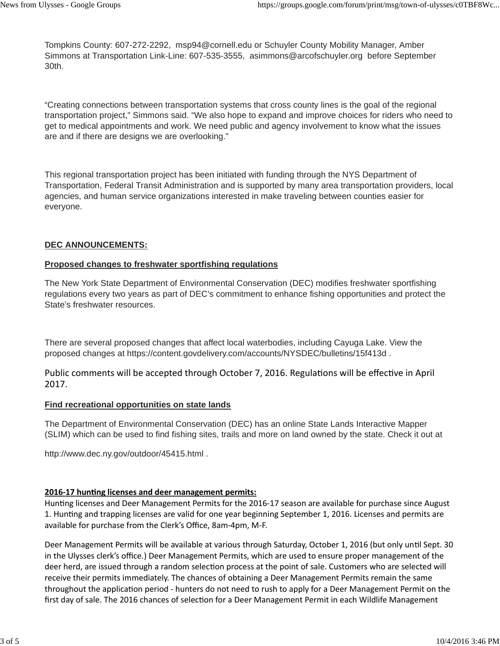Tompkins County: 607-272-2292, msp94@cornell.edu or Schuyler County Mobility Manager, Amber Simmons at Transportation Link-Line: 607-535-3555, asimmons@arcofschuyler.org before September 30th.

"Creating connections between transportation systems that cross county lines is the goal of the regional transportation project," Simmons said. "We also hope to expand and improve choices for riders who need to get to medical appointments and work. We need public and agency involvement to know what the issues are and if there are designs we are overlooking."

This regional transportation project has been initiated with funding through the NYS Department of Transportation, Federal Transit Administration and is supported by many area transportation providers, local agencies, and human service organizations interested in make traveling between counties easier for everyone.

## **DEC ANNOUNCEMENTS:**

## **Proposed changes to freshwater sportfishing regulations**

The New York State Department of Environmental Conservation (DEC) modifies freshwater sportfishing regulations every two years as part of DEC's commitment to enhance fishing opportunities and protect the State's freshwater resources.

There are several proposed changes that affect local waterbodies, including Cayuga Lake. View the proposed changes at https://content.govdelivery.com/accounts/NYSDEC/bulletins/15f413d .

Public comments will be accepted through October 7, 2016. Regulations will be effective in April 2017.

## **Find recreational opportunities on state lands**

The Department of Environmental Conservation (DEC) has an online State Lands Interactive Mapper (SLIM) which can be used to find fishing sites, trails and more on land owned by the state. Check it out at

http://www.dec.ny.gov/outdoor/45415.html .

## **2016-17 hunting licenses and deer management permits:**

Hunting licenses and Deer Management Permits for the 2016-17 season are available for purchase since August 1. Hunting and trapping licenses are valid for one year beginning September 1, 2016. Licenses and permits are available for purchase from the Clerk's Office, 8am-4pm, M-F.

Deer Management Permits will be available at various through Saturday, October 1, 2016 (but only until Sept. 30 in the Ulysses clerk's office.) Deer Management Permits, which are used to ensure proper management of the deer herd, are issued through a random selection process at the point of sale. Customers who are selected will receive their permits immediately. The chances of obtaining a Deer Management Permits remain the same throughout the application period - hunters do not need to rush to apply for a Deer Management Permit on the first day of sale. The 2016 chances of selection for a Deer Management Permit in each Wildlife Management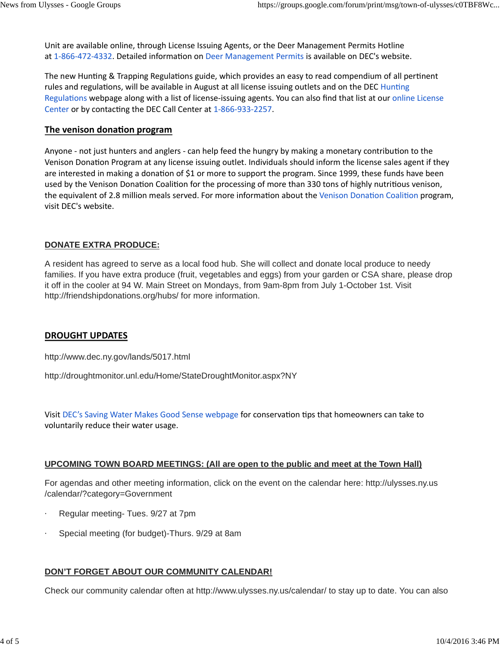Unit are available online, through License Issuing Agents, or the Deer Management Permits Hotline at 1-866-472-4332. Detailed information on Deer Management Permits is available on DEC's website.

The new Hunting & Trapping Regulations guide, which provides an easy to read compendium of all pertinent rules and regulations, will be available in August at all license issuing outlets and on the DEC Hunting Regulations webpage along with a list of license-issuing agents. You can also find that list at our online License Center or by contacting the DEC Call Center at 1-866-933-2257.

# **The venison donation program**

Anyone - not just hunters and anglers - can help feed the hungry by making a monetary contribution to the Venison Donation Program at any license issuing outlet. Individuals should inform the license sales agent if they are interested in making a donation of \$1 or more to support the program. Since 1999, these funds have been used by the Venison Donation Coalition for the processing of more than 330 tons of highly nutritious venison, the equivalent of 2.8 million meals served. For more information about the Venison Donation Coalition program, visit DEC's website.

# **DONATE EXTRA PRODUCE:**

A resident has agreed to serve as a local food hub. She will collect and donate local produce to needy families. If you have extra produce (fruit, vegetables and eggs) from your garden or CSA share, please drop it off in the cooler at 94 W. Main Street on Mondays, from 9am-8pm from July 1-October 1st. Visit http://friendshipdonations.org/hubs/ for more information.

# **DROUGHT UPDATES**

http://www.dec.ny.gov/lands/5017.html

http://droughtmonitor.unl.edu/Home/StateDroughtMonitor.aspx?NY

Visit DEC's Saving Water Makes Good Sense webpage for conservation tips that homeowners can take to voluntarily reduce their water usage.

# **UPCOMING TOWN BOARD MEETINGS: (All are open to the public and meet at the Town Hall)**

For agendas and other meeting information, click on the event on the calendar here: http://ulysses.ny.us /calendar/?category=Government

- Regular meeting- Tues. 9/27 at 7pm
- Special meeting (for budget)-Thurs. 9/29 at 8am

# **DON'T FORGET ABOUT OUR COMMUNITY CALENDAR!**

Check our community calendar often at http://www.ulysses.ny.us/calendar/ to stay up to date. You can also